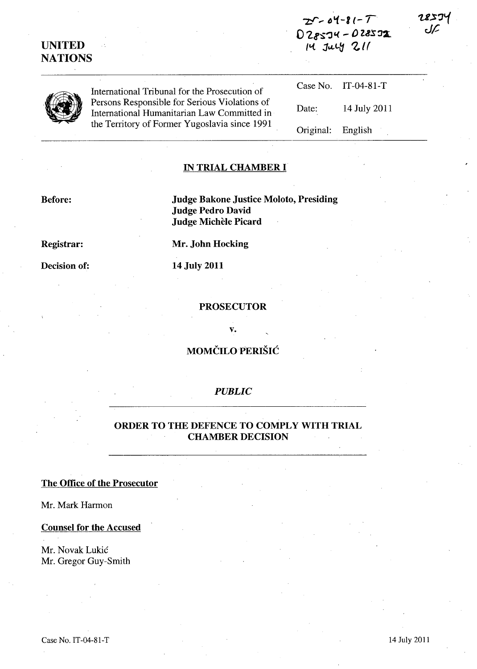| <b>UNITED</b>  |                                                                                                                                               | $028574 - 028572$<br>14 July 211 |                     | U |  |
|----------------|-----------------------------------------------------------------------------------------------------------------------------------------------|----------------------------------|---------------------|---|--|
| <b>NATIONS</b> |                                                                                                                                               |                                  |                     |   |  |
|                | International Tribunal for the Prosecution of                                                                                                 |                                  | Case No. IT-04-81-T |   |  |
|                | Persons Responsible for Serious Violations of<br>International Humanitarian Law Committed in<br>the Territory of Former Yugoslavia since 1991 | Date:                            | 14 July 2011        |   |  |
|                |                                                                                                                                               | Original:                        | English             |   |  |

 $25 - 04 - 81 - 7$ 

#### IN TRIAL CHAMBER **I**

Before: Judge Bakone Justice Moloto, Presiding Judge Pedro David Judge Michèle Picard

Registrar: Mr. John Hocking

Decision of: 14 July 2011

#### PROSECUTOR

v.

# MOMČILO PERIŠIĆ

#### *PUBLIC*

## ORDER TO THE DEFENCE TO COMPLY WITH TRIAL CHAMBER DECISION

# The Office of the Prosecutor

Mr. Mark Harmon

## Counsel for the Accused

Mr. Novak Lukic Mr. Gregor Guy-Smith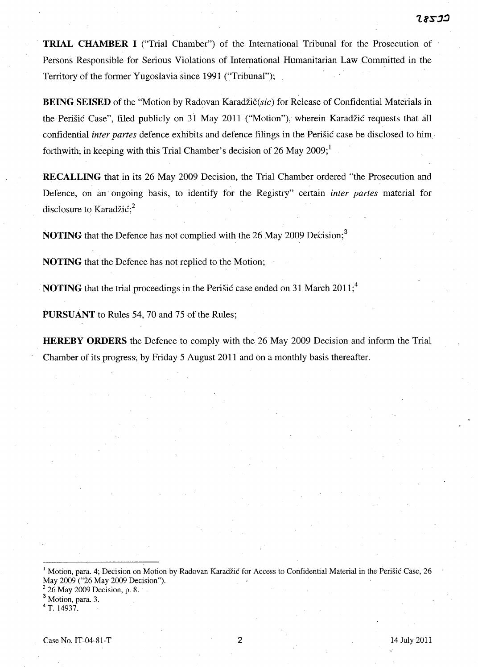**TRIAL CHAMBER I** ("Trial Chamber") of the International Tribunal for the Prosecution of Persons Responsible for Serious Violations of International Humanitarian Law Committed in the Territory of the former Yugoslavia since 1991 ("Tribunal");

**BEING SEISED** of the "Motion by Radovan Karadžič(sic) for Release of Confidential Materials in the Perisic Case", filed publicly on 31 May 2011 ("Motion"); wherein Karadzic requests that all confidential *inter partes* defence exhibits and defence filings in the Perisic case be disclosed to him· forthwith, in keeping with this Trial Chamber's decision of 26 May 2009;

**RECALLING** that in its 26 May 2009 Decision, the Trial Chamber ordered "the Prosecution and Defence, on im ongoing basis, to identify for the Registry" certain *inter partes* material for disclosure to Karadžić; $^{2}$ 

**NOTING** that the Defence has not complied with the 26 May 2009 Decision;<sup>3</sup>

**NOTING** that the Defence has not replied to the Motion;

**NOTING** that the trial proceedings in the Perišic case ended on 31 March 2011;<sup>4</sup>

**PURSUANT** to Rules 54, 70 and 75 of the Rules;

**HEREBY ORDERS** the Defence to comply with the 26 May 2009 Decision and inform the Trial Chamber of its progress', by Friday 5 August 2011 and on a monthly basis thereafter.

1 Motion, para. 4; Decision on Motion by Radovan Karadzic for Access to Confidential Material in the Perisic Case, 26 May 2009 ("26 May 2009 Decision").

 $2^2$  26 May 2009 Decision, p. 8.

<sup>3</sup> Motion, para. 3.

 $4$  T. 14937.